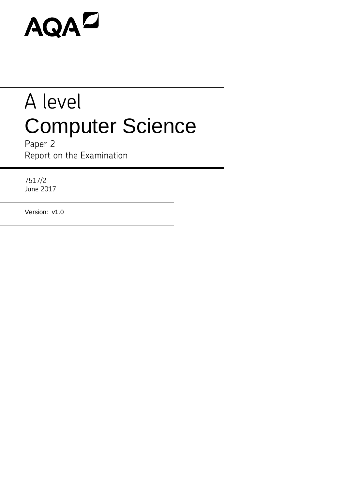# AQAD

# A level Computer Science

Paper 2 Report on the Examination

7517/2 June 2017

Version: v1.0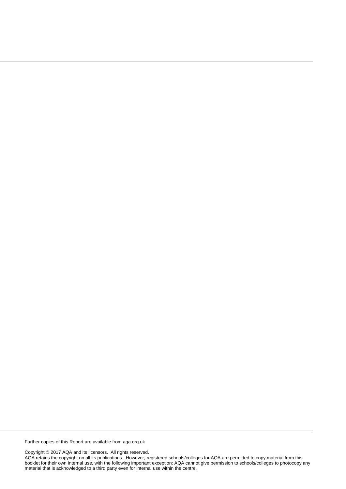Further copies of this Report are available from aqa.org.uk

Copyright © 2017 AQA and its licensors. All rights reserved.

AQA retains the copyright on all its publications. However, registered schools/colleges for AQA are permitted to copy material from this booklet for their own internal use, with the following important exception: AQA cannot give permission to schools/colleges to photocopy any material that is acknowledged to a third party even for internal use within the centre.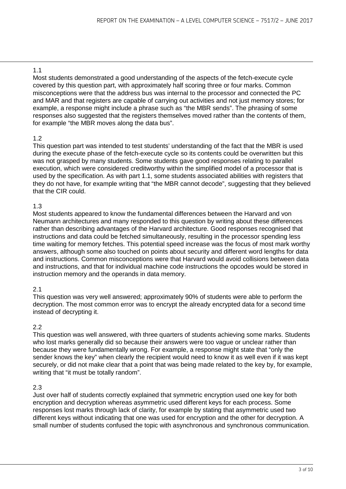Most students demonstrated a good understanding of the aspects of the fetch-execute cycle covered by this question part, with approximately half scoring three or four marks. Common misconceptions were that the address bus was internal to the processor and connected the PC and MAR and that registers are capable of carrying out activities and not just memory stores; for example, a response might include a phrase such as "the MBR sends". The phrasing of some responses also suggested that the registers themselves moved rather than the contents of them, for example "the MBR moves along the data bus".

# 1.2

This question part was intended to test students' understanding of the fact that the MBR is used during the execute phase of the fetch-execute cycle so its contents could be overwritten but this was not grasped by many students. Some students gave good responses relating to parallel execution, which were considered creditworthy within the simplified model of a processor that is used by the specification. As with part 1.1, some students associated abilities with registers that they do not have, for example writing that "the MBR cannot decode", suggesting that they believed that the CIR could.

# 1.3

Most students appeared to know the fundamental differences between the Harvard and von Neumann architectures and many responded to this question by writing about these differences rather than describing advantages of the Harvard architecture. Good responses recognised that instructions and data could be fetched simultaneously, resulting in the processor spending less time waiting for memory fetches. This potential speed increase was the focus of most mark worthy answers, although some also touched on points about security and different word lengths for data and instructions. Common misconceptions were that Harvard would avoid collisions between data and instructions, and that for individual machine code instructions the opcodes would be stored in instruction memory and the operands in data memory.

#### 2.1

This question was very well answered; approximately 90% of students were able to perform the decryption. The most common error was to encrypt the already encrypted data for a second time instead of decrypting it.

# 2.2

This question was well answered, with three quarters of students achieving some marks. Students who lost marks generally did so because their answers were too vague or unclear rather than because they were fundamentally wrong. For example, a response might state that "only the sender knows the key" when clearly the recipient would need to know it as well even if it was kept securely, or did not make clear that a point that was being made related to the key by, for example, writing that "it must be totally random".

# 2.3

Just over half of students correctly explained that symmetric encryption used one key for both encryption and decryption whereas asymmetric used different keys for each process. Some responses lost marks through lack of clarity, for example by stating that asymmetric used two different keys without indicating that one was used for encryption and the other for decryption. A small number of students confused the topic with asynchronous and synchronous communication.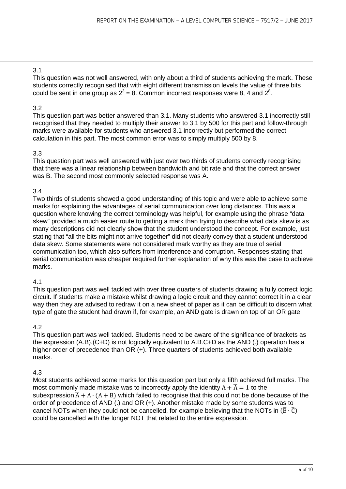This question was not well answered, with only about a third of students achieving the mark. These students correctly recognised that with eight different transmission levels the value of three bits could be sent in one group as  $2^3 = 8$ . Common incorrect responses were 8, 4 and  $2^8$ .

# 3.2

This question part was better answered than 3.1. Many students who answered 3.1 incorrectly still recognised that they needed to multiply their answer to 3.1 by 500 for this part and follow-through marks were available for students who answered 3.1 incorrectly but performed the correct calculation in this part. The most common error was to simply multiply 500 by 8.

# 3.3

This question part was well answered with just over two thirds of students correctly recognising that there was a linear relationship between bandwidth and bit rate and that the correct answer was B. The second most commonly selected response was A.

# 3.4

Two thirds of students showed a good understanding of this topic and were able to achieve some marks for explaining the advantages of serial communication over long distances. This was a question where knowing the correct terminology was helpful, for example using the phrase "data skew" provided a much easier route to getting a mark than trying to describe what data skew is as many descriptions did not clearly show that the student understood the concept. For example, just stating that "all the bits might not arrive together" did not clearly convey that a student understood data skew. Some statements were not considered mark worthy as they are true of serial communication too, which also suffers from interference and corruption. Responses stating that serial communication was cheaper required further explanation of why this was the case to achieve marks.

#### 4.1

This question part was well tackled with over three quarters of students drawing a fully correct logic circuit. If students make a mistake whilst drawing a logic circuit and they cannot correct it in a clear way then they are advised to redraw it on a new sheet of paper as it can be difficult to discern what type of gate the student had drawn if, for example, an AND gate is drawn on top of an OR gate.

# 4.2

This question part was well tackled. Students need to be aware of the significance of brackets as the expression (A.B).(C+D) is not logically equivalent to A.B.C+D as the AND (.) operation has a higher order of precedence than OR (+). Three quarters of students achieved both available marks.

# 4.3

Most students achieved some marks for this question part but only a fifth achieved full marks. The most commonly made mistake was to incorrectly apply the identity  $A + \overline{A} = 1$  to the subexpression  $\overline{A} + A \cdot (A + B)$  which failed to recognise that this could not be done because of the order of precedence of AND (.) and OR (+). Another mistake made by some students was to cancel NOTs when they could not be cancelled, for example believing that the NOTs in  $(\overline{B} \cdot \overline{C})$ could be cancelled with the longer NOT that related to the entire expression.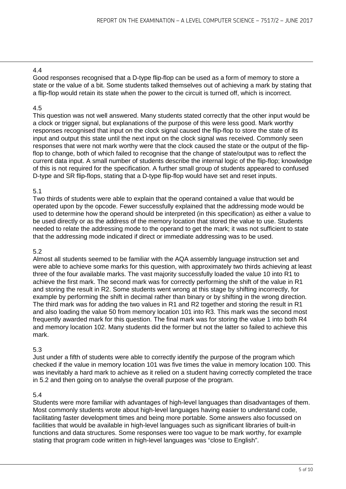Good responses recognised that a D-type flip-flop can be used as a form of memory to store a state or the value of a bit. Some students talked themselves out of achieving a mark by stating that a flip-flop would retain its state when the power to the circuit is turned off, which is incorrect.

# 4.5

This question was not well answered. Many students stated correctly that the other input would be a clock or trigger signal, but explanations of the purpose of this were less good. Mark worthy responses recognised that input on the clock signal caused the flip-flop to store the state of its input and output this state until the next input on the clock signal was received. Commonly seen responses that were not mark worthy were that the clock caused the state or the output of the flipflop to change, both of which failed to recognise that the change of state/output was to reflect the current data input. A small number of students describe the internal logic of the flip-flop; knowledge of this is not required for the specification. A further small group of students appeared to confused D-type and SR flip-flops, stating that a D-type flip-flop would have set and reset inputs.

# 5.1

Two thirds of students were able to explain that the operand contained a value that would be operated upon by the opcode. Fewer successfully explained that the addressing mode would be used to determine how the operand should be interpreted (in this specification) as either a value to be used directly or as the address of the memory location that stored the value to use. Students needed to relate the addressing mode to the operand to get the mark; it was not sufficient to state that the addressing mode indicated if direct or immediate addressing was to be used.

# 5.2

Almost all students seemed to be familiar with the AQA assembly language instruction set and were able to achieve some marks for this question, with approximately two thirds achieving at least three of the four available marks. The vast majority successfully loaded the value 10 into R1 to achieve the first mark. The second mark was for correctly performing the shift of the value in R1 and storing the result in R2. Some students went wrong at this stage by shifting incorrectly, for example by performing the shift in decimal rather than binary or by shifting in the wrong direction. The third mark was for adding the two values in R1 and R2 together and storing the result in R1 and also loading the value 50 from memory location 101 into R3. This mark was the second most frequently awarded mark for this question. The final mark was for storing the value 1 into both R4 and memory location 102. Many students did the former but not the latter so failed to achieve this mark.

# 5.3

Just under a fifth of students were able to correctly identify the purpose of the program which checked if the value in memory location 101 was five times the value in memory location 100. This was inevitably a hard mark to achieve as it relied on a student having correctly completed the trace in 5.2 and then going on to analyse the overall purpose of the program.

#### 5.4

Students were more familiar with advantages of high-level languages than disadvantages of them. Most commonly students wrote about high-level languages having easier to understand code, facilitating faster development times and being more portable. Some answers also focussed on facilities that would be available in high-level languages such as significant libraries of built-in functions and data structures. Some responses were too vague to be mark worthy, for example stating that program code written in high-level languages was "close to English".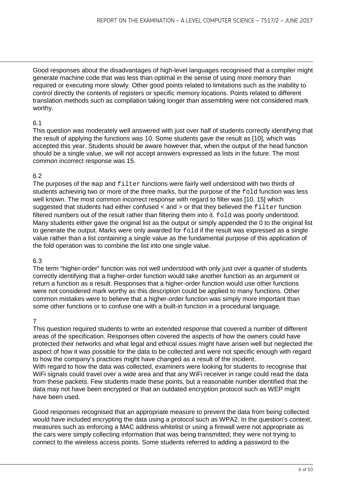Good responses about the disadvantages of high-level languages recognised that a compiler might generate machine code that was less than optimal in the sense of using more memory than required or executing more slowly. Other good points related to limitations such as the inability to control directly the contents of registers or specific memory locations. Points related to different translation methods such as compilation taking longer than assembling were not considered mark worthy.

# 6.1

This question was moderately well answered with just over half of students correctly identifying that the result of applying the functions was 10. Some students gave the result as [10], which was accepted this year. Students should be aware however that, when the output of the head function should be a single value, we will not accept answers expressed as lists in the future. The most common incorrect response was 15.

# 6.2

The purposes of the map and  $filter$  functions were fairly well understood with two thirds of students achieving two or more of the three marks, but the purpose of the fold function was less well known. The most common incorrect response with regard to filter was [10, 15] which suggested that students had either confused  $\langle$  and  $\rangle$  or that they believed the filter function filtered numbers out of the result rather than filtering them into it.  $f \circ d$  was poorly understood. Many students either gave the original list as the output or simply appended the 0 to the original list to generate the output. Marks were only awarded for fold if the result was expressed as a single value rather than a list containing a single value as the fundamental purpose of this application of the fold operation was to combine the list into one single value.

# 6.3

The term "higher-order" function was not well understood with only just over a quarter of students correctly identifying that a higher-order function would take another function as an argument or return a function as a result. Responses that a higher-order function would use other functions were not considered mark worthy as this description could be applied to many functions. Other common mistakes were to believe that a higher-order function was simply more important than some other functions or to confuse one with a built-in function in a procedural language.

# 7

This question required students to write an extended response that covered a number of different areas of the specification. Responses often covered the aspects of how the owners could have protected their networks and what legal and ethical issues might have arisen well but neglected the aspect of how it was possible for the data to be collected and were not specific enough with regard to how the company's practices might have changed as a result of the incident.

With regard to how the data was collected, examiners were looking for students to recognise that WiFi signals could travel over a wide area and that any WiFi receiver in range could read the data from these packets. Few students made these points, but a reasonable number identified that the data may not have been encrypted or that an outdated encryption protocol such as WEP might have been used.

Good responses recognised that an appropriate measure to prevent the data from being collected would have included encrypting the data using a protocol such as WPA2. In the question's context, measures such as enforcing a MAC address whitelist or using a firewall were not appropriate as the cars were simply collecting information that was being transmitted; they were not trying to connect to the wireless access points. Some students referred to adding a password to the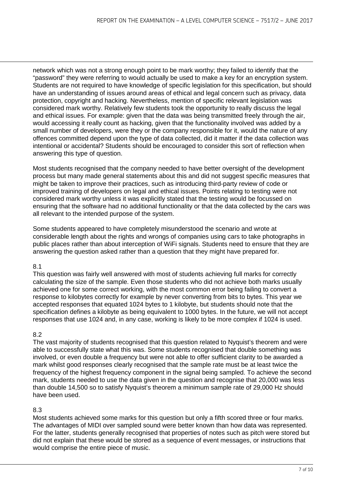network which was not a strong enough point to be mark worthy; they failed to identify that the "password" they were referring to would actually be used to make a key for an encryption system. Students are not required to have knowledge of specific legislation for this specification, but should have an understanding of issues around areas of ethical and legal concern such as privacy, data protection, copyright and hacking. Nevertheless, mention of specific relevant legislation was considered mark worthy. Relatively few students took the opportunity to really discuss the legal and ethical issues. For example: given that the data was being transmitted freely through the air, would accessing it really count as hacking, given that the functionality involved was added by a small number of developers, were they or the company responsible for it, would the nature of any offences committed depend upon the type of data collected, did it matter if the data collection was intentional or accidental? Students should be encouraged to consider this sort of reflection when answering this type of question.

Most students recognised that the company needed to have better oversight of the development process but many made general statements about this and did not suggest specific measures that might be taken to improve their practices, such as introducing third-party review of code or improved training of developers on legal and ethical issues. Points relating to testing were not considered mark worthy unless it was explicitly stated that the testing would be focussed on ensuring that the software had no additional functionality or that the data collected by the cars was all relevant to the intended purpose of the system.

Some students appeared to have completely misunderstood the scenario and wrote at considerable length about the rights and wrongs of companies using cars to take photographs in public places rather than about interception of WiFi signals. Students need to ensure that they are answering the question asked rather than a question that they might have prepared for.

# 8.1

This question was fairly well answered with most of students achieving full marks for correctly calculating the size of the sample. Even those students who did not achieve both marks usually achieved one for some correct working, with the most common error being failing to convert a response to kilobytes correctly for example by never converting from bits to bytes. This year we accepted responses that equated 1024 bytes to 1 kilobyte, but students should note that the specification defines a kilobyte as being equivalent to 1000 bytes. In the future, we will not accept responses that use 1024 and, in any case, working is likely to be more complex if 1024 is used.

#### 8.2

The vast majority of students recognised that this question related to Nyquist's theorem and were able to successfully state what this was. Some students recognised that double something was involved, or even double a frequency but were not able to offer sufficient clarity to be awarded a mark whilst good responses clearly recognised that the sample rate must be at least twice the frequency of the highest frequency component in the signal being sampled. To achieve the second mark, students needed to use the data given in the question and recognise that 20,000 was less than double 14,500 so to satisfy Nyquist's theorem a minimum sample rate of 29,000 Hz should have been used.

# 8.3

Most students achieved some marks for this question but only a fifth scored three or four marks. The advantages of MIDI over sampled sound were better known than how data was represented. For the latter, students generally recognised that properties of notes such as pitch were stored but did not explain that these would be stored as a sequence of event messages, or instructions that would comprise the entire piece of music.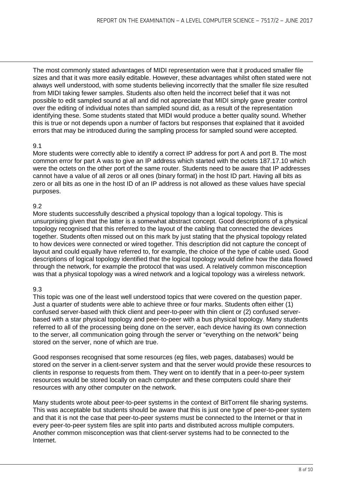The most commonly stated advantages of MIDI representation were that it produced smaller file sizes and that it was more easily editable. However, these advantages whilst often stated were not always well understood, with some students believing incorrectly that the smaller file size resulted from MIDI taking fewer samples. Students also often held the incorrect belief that it was not possible to edit sampled sound at all and did not appreciate that MIDI simply gave greater control over the editing of individual notes than sampled sound did, as a result of the representation identifying these. Some students stated that MIDI would produce a better quality sound. Whether this is true or not depends upon a number of factors but responses that explained that it avoided errors that may be introduced during the sampling process for sampled sound were accepted.

# 9.1

More students were correctly able to identify a correct IP address for port A and port B. The most common error for part A was to give an IP address which started with the octets 187.17.10 which were the octets on the other port of the same router. Students need to be aware that IP addresses cannot have a value of all zeros or all ones (binary format) in the host ID part. Having all bits as zero or all bits as one in the host ID of an IP address is not allowed as these values have special purposes.

# 9.2

More students successfully described a physical topology than a logical topology. This is unsurprising given that the latter is a somewhat abstract concept. Good descriptions of a physical topology recognised that this referred to the layout of the cabling that connected the devices together. Students often missed out on this mark by just stating that the physical topology related to how devices were connected or wired together. This description did not capture the concept of layout and could equally have referred to, for example, the choice of the type of cable used. Good descriptions of logical topology identified that the logical topology would define how the data flowed through the network, for example the protocol that was used. A relatively common misconception was that a physical topology was a wired network and a logical topology was a wireless network.

# 9.3

This topic was one of the least well understood topics that were covered on the question paper. Just a quarter of students were able to achieve three or four marks. Students often either (1) confused server-based with thick client and peer-to-peer with thin client or (2) confused serverbased with a star physical topology and peer-to-peer with a bus physical topology. Many students referred to all of the processing being done on the server, each device having its own connection to the server, all communication going through the server or "everything on the network" being stored on the server, none of which are true.

Good responses recognised that some resources (eg files, web pages, databases) would be stored on the server in a client-server system and that the server would provide these resources to clients in response to requests from them. They went on to identify that in a peer-to-peer system resources would be stored locally on each computer and these computers could share their resources with any other computer on the network.

Many students wrote about peer-to-peer systems in the context of BitTorrent file sharing systems. This was acceptable but students should be aware that this is just one type of peer-to-peer system and that it is not the case that peer-to-peer systems must be connected to the Internet or that in every peer-to-peer system files are split into parts and distributed across multiple computers. Another common misconception was that client-server systems had to be connected to the Internet.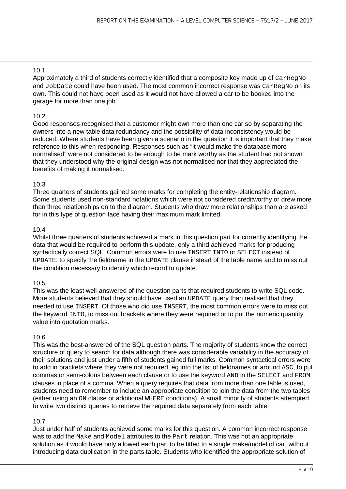Approximately a third of students correctly identified that a composite key made up of CarRegNo and JobDate could have been used. The most common incorrect response was CarRegNo on its own. This could not have been used as it would not have allowed a car to be booked into the garage for more than one job.

# 10.2

Good responses recognised that a customer might own more than one car so by separating the owners into a new table data redundancy and the possibility of data inconsistency would be reduced. Where students have been given a scenario in the question it is important that they make reference to this when responding. Responses such as "it would make the database more normalised" were not considered to be enough to be mark worthy as the student had not shown that they understood why the original design was not normalised nor that they appreciated the benefits of making it normalised.

# 10.3

Three quarters of students gained some marks for completing the entity-relationship diagram. Some students used non-standard notations which were not considered creditworthy or drew more than three relationships on to the diagram. Students who draw more relationships than are asked for in this type of question face having their maximum mark limited.

# 10.4

Whilst three quarters of students achieved a mark in this question part for correctly identifying the data that would be required to perform this update, only a third achieved marks for producing syntactically correct SQL. Common errors were to use INSERT INTO or SELECT instead of UPDATE, to specify the fieldname in the UPDATE clause instead of the table name and to miss out the condition necessary to identify which record to update.

# 10.5

This was the least well-answered of the question parts that required students to write SQL code. More students believed that they should have used an UPDATE query than realised that they needed to use INSERT. Of those who did use INSERT, the most common errors were to miss out the keyword INTO, to miss out brackets where they were required or to put the numeric quantity value into quotation marks.

# 10.6

This was the best-answered of the SQL question parts. The majority of students knew the correct structure of query to search for data although there was considerable variability in the accuracy of their solutions and just under a fifth of students gained full marks. Common syntactical errors were to add in brackets where they were not required, eg into the list of fieldnames or around ASC, to put commas or semi-colons between each clause or to use the keyword AND in the SELECT and FROM clauses in place of a comma. When a query requires that data from more than one table is used, students need to remember to include an appropriate condition to join the data from the two tables (either using an ON clause or additional WHERE conditions). A small minority of students attempted to write two distinct queries to retrieve the required data separately from each table.

# 10.7

Just under half of students achieved some marks for this question. A common incorrect response was to add the Make and Model attributes to the Part relation. This was not an appropriate solution as it would have only allowed each part to be fitted to a single make/model of car, without introducing data duplication in the parts table. Students who identified the appropriate solution of